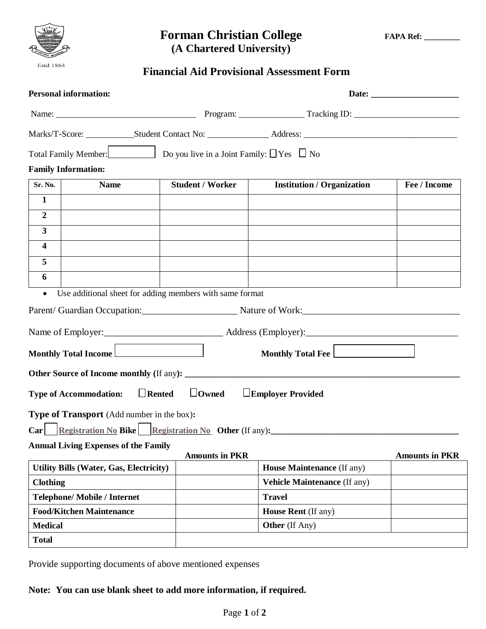

# **Forman Christian College FAPA Ref:** \_\_\_\_\_\_\_  **(A Chartered University)**

# **Financial Aid Provisional Assessment Form**

| Total Family Member:<br>$\Box$ Do you live in a Joint Family: $\Box$ Yes $\Box$ No<br><b>Family Information:</b><br><b>Sr. No.</b><br><b>Institution / Organization</b><br><b>Name</b><br><b>Student / Worker</b><br>$\mathbf{1}$<br>$\boldsymbol{2}$<br>$\overline{\mathbf{3}}$<br>$\overline{\mathbf{4}}$<br>5<br>6<br>Use additional sheet for adding members with same format<br>$\bullet$<br>Parent/ Guardian Occupation: Mature of Work: Mature of Work: Mature of Work: Mature 3, 2012<br>Monthly Total Income<br>$\Box$ Rented<br>$\Box$ Owned<br><b>Type of Accommodation:</b><br>$\Box$ Employer Provided<br>Type of Transport (Add number in the box):<br>Car Registration No Bike Registration No Other (If any):<br><b>Annual Living Expenses of the Family</b><br><b>Amounts in PKR</b><br><b>Amounts in PKR</b><br><b>House Maintenance (If any)</b><br><b>Utility Bills (Water, Gas, Electricity)</b><br><b>Clothing</b><br><b>Vehicle Maintenance</b> (If any)<br><b>Telephone/Mobile / Internet</b><br><b>Travel</b><br><b>Food/Kitchen Maintenance</b><br><b>House Rent</b> (If any) | <b>Personal information:</b> |  |                |              |
|---------------------------------------------------------------------------------------------------------------------------------------------------------------------------------------------------------------------------------------------------------------------------------------------------------------------------------------------------------------------------------------------------------------------------------------------------------------------------------------------------------------------------------------------------------------------------------------------------------------------------------------------------------------------------------------------------------------------------------------------------------------------------------------------------------------------------------------------------------------------------------------------------------------------------------------------------------------------------------------------------------------------------------------------------------------------------------------------------------|------------------------------|--|----------------|--------------|
|                                                                                                                                                                                                                                                                                                                                                                                                                                                                                                                                                                                                                                                                                                                                                                                                                                                                                                                                                                                                                                                                                                         |                              |  |                |              |
|                                                                                                                                                                                                                                                                                                                                                                                                                                                                                                                                                                                                                                                                                                                                                                                                                                                                                                                                                                                                                                                                                                         |                              |  |                |              |
|                                                                                                                                                                                                                                                                                                                                                                                                                                                                                                                                                                                                                                                                                                                                                                                                                                                                                                                                                                                                                                                                                                         |                              |  |                |              |
|                                                                                                                                                                                                                                                                                                                                                                                                                                                                                                                                                                                                                                                                                                                                                                                                                                                                                                                                                                                                                                                                                                         |                              |  |                |              |
|                                                                                                                                                                                                                                                                                                                                                                                                                                                                                                                                                                                                                                                                                                                                                                                                                                                                                                                                                                                                                                                                                                         |                              |  |                | Fee / Income |
|                                                                                                                                                                                                                                                                                                                                                                                                                                                                                                                                                                                                                                                                                                                                                                                                                                                                                                                                                                                                                                                                                                         |                              |  |                |              |
|                                                                                                                                                                                                                                                                                                                                                                                                                                                                                                                                                                                                                                                                                                                                                                                                                                                                                                                                                                                                                                                                                                         |                              |  |                |              |
|                                                                                                                                                                                                                                                                                                                                                                                                                                                                                                                                                                                                                                                                                                                                                                                                                                                                                                                                                                                                                                                                                                         |                              |  |                |              |
|                                                                                                                                                                                                                                                                                                                                                                                                                                                                                                                                                                                                                                                                                                                                                                                                                                                                                                                                                                                                                                                                                                         |                              |  |                |              |
|                                                                                                                                                                                                                                                                                                                                                                                                                                                                                                                                                                                                                                                                                                                                                                                                                                                                                                                                                                                                                                                                                                         |                              |  |                |              |
|                                                                                                                                                                                                                                                                                                                                                                                                                                                                                                                                                                                                                                                                                                                                                                                                                                                                                                                                                                                                                                                                                                         |                              |  |                |              |
|                                                                                                                                                                                                                                                                                                                                                                                                                                                                                                                                                                                                                                                                                                                                                                                                                                                                                                                                                                                                                                                                                                         |                              |  |                |              |
|                                                                                                                                                                                                                                                                                                                                                                                                                                                                                                                                                                                                                                                                                                                                                                                                                                                                                                                                                                                                                                                                                                         |                              |  |                |              |
|                                                                                                                                                                                                                                                                                                                                                                                                                                                                                                                                                                                                                                                                                                                                                                                                                                                                                                                                                                                                                                                                                                         |                              |  |                |              |
|                                                                                                                                                                                                                                                                                                                                                                                                                                                                                                                                                                                                                                                                                                                                                                                                                                                                                                                                                                                                                                                                                                         |                              |  |                |              |
|                                                                                                                                                                                                                                                                                                                                                                                                                                                                                                                                                                                                                                                                                                                                                                                                                                                                                                                                                                                                                                                                                                         |                              |  |                |              |
|                                                                                                                                                                                                                                                                                                                                                                                                                                                                                                                                                                                                                                                                                                                                                                                                                                                                                                                                                                                                                                                                                                         |                              |  |                |              |
|                                                                                                                                                                                                                                                                                                                                                                                                                                                                                                                                                                                                                                                                                                                                                                                                                                                                                                                                                                                                                                                                                                         |                              |  |                |              |
|                                                                                                                                                                                                                                                                                                                                                                                                                                                                                                                                                                                                                                                                                                                                                                                                                                                                                                                                                                                                                                                                                                         |                              |  |                |              |
|                                                                                                                                                                                                                                                                                                                                                                                                                                                                                                                                                                                                                                                                                                                                                                                                                                                                                                                                                                                                                                                                                                         |                              |  |                |              |
|                                                                                                                                                                                                                                                                                                                                                                                                                                                                                                                                                                                                                                                                                                                                                                                                                                                                                                                                                                                                                                                                                                         |                              |  |                |              |
|                                                                                                                                                                                                                                                                                                                                                                                                                                                                                                                                                                                                                                                                                                                                                                                                                                                                                                                                                                                                                                                                                                         |                              |  |                |              |
|                                                                                                                                                                                                                                                                                                                                                                                                                                                                                                                                                                                                                                                                                                                                                                                                                                                                                                                                                                                                                                                                                                         |                              |  |                |              |
|                                                                                                                                                                                                                                                                                                                                                                                                                                                                                                                                                                                                                                                                                                                                                                                                                                                                                                                                                                                                                                                                                                         |                              |  |                |              |
|                                                                                                                                                                                                                                                                                                                                                                                                                                                                                                                                                                                                                                                                                                                                                                                                                                                                                                                                                                                                                                                                                                         |                              |  |                |              |
|                                                                                                                                                                                                                                                                                                                                                                                                                                                                                                                                                                                                                                                                                                                                                                                                                                                                                                                                                                                                                                                                                                         |                              |  |                |              |
|                                                                                                                                                                                                                                                                                                                                                                                                                                                                                                                                                                                                                                                                                                                                                                                                                                                                                                                                                                                                                                                                                                         | <b>Medical</b>               |  | Other (If Any) |              |
| <b>Total</b>                                                                                                                                                                                                                                                                                                                                                                                                                                                                                                                                                                                                                                                                                                                                                                                                                                                                                                                                                                                                                                                                                            |                              |  |                |              |

Provide supporting documents of above mentioned expenses

#### **Note: You can use blank sheet to add more information, if required.**